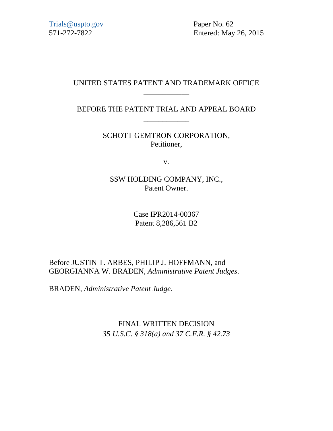[Trials@uspto.gov](mailto:Trials@uspto.gov) Paper No. 62

571-272-7822 Entered: May 26, 2015

#### UNITED STATES PATENT AND TRADEMARK OFFICE \_\_\_\_\_\_\_\_\_\_\_\_

BEFORE THE PATENT TRIAL AND APPEAL BOARD \_\_\_\_\_\_\_\_\_\_\_\_

> SCHOTT GEMTRON CORPORATION, Petitioner,

> > v.

SSW HOLDING COMPANY, INC., Patent Owner.

\_\_\_\_\_\_\_\_\_\_\_\_

Case IPR2014-00367 Patent 8,286,561 B2

\_\_\_\_\_\_\_\_\_\_\_\_

Before JUSTIN T. ARBES, PHILIP J. HOFFMANN, and GEORGIANNA W. BRADEN, *Administrative Patent Judges*.

BRADEN, *Administrative Patent Judge.*

FINAL WRITTEN DECISION *35 U.S.C. § 318(a) and 37 C.F.R. § 42.73*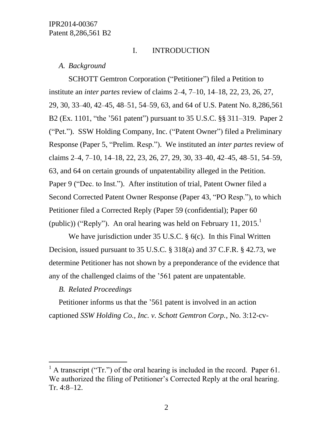## I. INTRODUCTION

#### *A. Background*

SCHOTT Gemtron Corporation ("Petitioner") filed a Petition to institute an *inter partes* review of claims 2–4, 7–10, 14–18, 22, 23, 26, 27, 29, 30, 33–40, 42–45, 48–51, 54–59, 63, and 64 of U.S. Patent No. 8,286,561 B2 (Ex. 1101, "the '561 patent") pursuant to 35 U.S.C. §§ 311–319. Paper 2 ("Pet."). SSW Holding Company, Inc. ("Patent Owner") filed a Preliminary Response (Paper 5, "Prelim. Resp."). We instituted an *inter partes* review of claims 2–4, 7–10, 14–18, 22, 23, 26, 27, 29, 30, 33–40, 42–45, 48–51, 54–59, 63, and 64 on certain grounds of unpatentability alleged in the Petition. Paper 9 ("Dec. to Inst."). After institution of trial, Patent Owner filed a Second Corrected Patent Owner Response (Paper 43, "PO Resp."), to which Petitioner filed a Corrected Reply (Paper 59 (confidential); Paper 60 (public)) ("Reply"). An oral hearing was held on February 11, 2015.<sup>1</sup>

We have jurisdiction under 35 U.S.C. § 6(c). In this Final Written Decision, issued pursuant to 35 U.S.C. § 318(a) and 37 C.F.R. § 42.73, we determine Petitioner has not shown by a preponderance of the evidence that any of the challenged claims of the '561 patent are unpatentable.

#### *B. Related Proceedings*

l

Petitioner informs us that the '561 patent is involved in an action captioned *SSW Holding Co., Inc. v. Schott Gemtron Corp.*, No. 3:12-cv-

 $<sup>1</sup>$  A transcript ("Tr.") of the oral hearing is included in the record. Paper 61.</sup> We authorized the filing of Petitioner's Corrected Reply at the oral hearing. Tr. 4:8–12.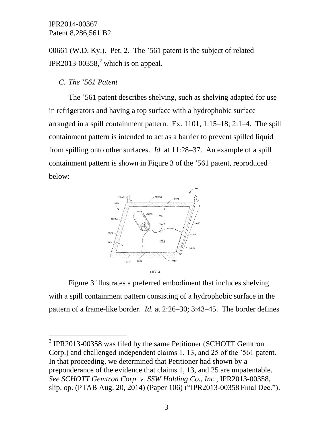00661 (W.D. Ky.). Pet. 2. The '561 patent is the subject of related IPR2013-00358 $^2$ , which is on appeal.

*C. The* '*561 Patent*

 $\overline{a}$ 

The '561 patent describes shelving, such as shelving adapted for use in refrigerators and having a top surface with a hydrophobic surface arranged in a spill containment pattern. Ex. 1101, 1:15–18; 2:1–4. The spill containment pattern is intended to act as a barrier to prevent spilled liquid from spilling onto other surfaces. *Id.* at 11:28–37. An example of a spill containment pattern is shown in Figure 3 of the '561 patent, reproduced below:



Figure 3 illustrates a preferred embodiment that includes shelving with a spill containment pattern consisting of a hydrophobic surface in the pattern of a frame-like border. *Id.* at 2:26–30; 3:43–45. The border defines

 $2$  IPR2013-00358 was filed by the same Petitioner (SCHOTT Gemtron Corp.) and challenged independent claims 1, 13, and 25 of the '561 patent. In that proceeding, we determined that Petitioner had shown by a preponderance of the evidence that claims 1, 13, and 25 are unpatentable. *See SCHOTT Gemtron Corp. v. SSW Holding Co., Inc.*, IPR2013-00358, slip. op. (PTAB Aug. 20, 2014) (Paper 106) ("IPR2013-00358 Final Dec.").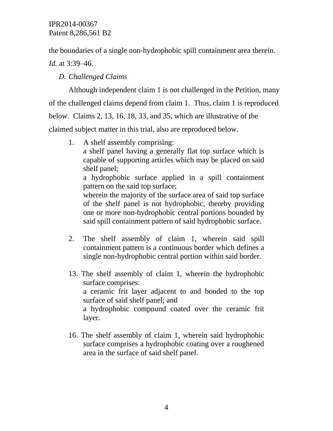the boundaries of a single non-hydrophobic spill containment area therein.

*Id.* at 3:39–46.

*D. Challenged Claims*

Although independent claim 1 is not challenged in the Petition, many of the challenged claims depend from claim 1. Thus, claim 1 is reproduced below. Claims 2, 13, 16, 18, 33, and 35, which are illustrative of the claimed subject matter in this trial, also are reproduced below.

1. A shelf assembly comprising:

a shelf panel having a generally flat top surface which is capable of supporting articles which may be placed on said shelf panel;

a hydrophobic surface applied in a spill containment pattern on the said top surface;

wherein the majority of the surface area of said top surface of the shelf panel is not hydrophobic, thereby providing one or more non-hydrophobic central portions bounded by said spill containment pattern of said hydrophobic surface.

- 2. The shelf assembly of claim 1, wherein said spill containment pattern is a continuous border which defines a single non-hydrophobic central portion within said border.
- 13. The shelf assembly of claim 1, wherein the hydrophobic surface comprises: a ceramic frit layer adjacent to and bonded to the top surface of said shelf panel; and a hydrophobic compound coated over the ceramic frit layer.
- 16. The shelf assembly of claim 1, wherein said hydrophobic surface comprises a hydrophobic coating over a roughened area in the surface of said shelf panel.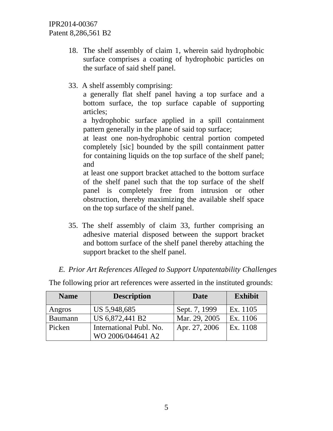- 18. The shelf assembly of claim 1, wherein said hydrophobic surface comprises a coating of hydrophobic particles on the surface of said shelf panel.
- 33. A shelf assembly comprising:

a generally flat shelf panel having a top surface and a bottom surface, the top surface capable of supporting articles;

a hydrophobic surface applied in a spill containment pattern generally in the plane of said top surface;

at least one non-hydrophobic central portion competed completely [sic] bounded by the spill containment patter for containing liquids on the top surface of the shelf panel; and

at least one support bracket attached to the bottom surface of the shelf panel such that the top surface of the shelf panel is completely free from intrusion or other obstruction, thereby maximizing the available shelf space on the top surface of the shelf panel.

35. The shelf assembly of claim 33, further comprising an adhesive material disposed between the support bracket and bottom surface of the shelf panel thereby attaching the support bracket to the shelf panel.

## *E. Prior Art References Alleged to Support Unpatentability Challenges*

| <b>Name</b>    | <b>Description</b>      | Date          | <b>Exhibit</b> |
|----------------|-------------------------|---------------|----------------|
| Angros         | US 5,948,685            | Sept. 7, 1999 | Ex. 1105       |
| <b>Baumann</b> | US 6,872,441 B2         | Mar. 29, 2005 | Ex. 1106       |
| Picken         | International Publ. No. | Apr. 27, 2006 | Ex. 1108       |
|                | WO 2006/044641 A2       |               |                |

The following prior art references were asserted in the instituted grounds: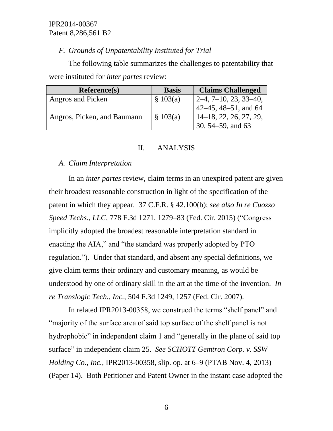# *F. Grounds of Unpatentability Instituted for Trial*

The following table summarizes the challenges to patentability that were instituted for *inter partes* review:

| Reference(s)                | <b>Basis</b> | <b>Claims Challenged</b>  |
|-----------------------------|--------------|---------------------------|
| Angros and Picken           | \$103(a)     | $2-4, 7-10, 23, 33-40,$   |
|                             |              | 42–45, 48–51, and 64      |
| Angros, Picken, and Baumann | \$103(a)     | $14-18$ , 22, 26, 27, 29, |
|                             |              | 30, $54 - 59$ , and $63$  |

# II. ANALYSIS

# *A. Claim Interpretation*

In an *inter partes* review, claim terms in an unexpired patent are given their broadest reasonable construction in light of the specification of the patent in which they appear. 37 C.F.R. § 42.100(b); *see also In re Cuozzo Speed Techs., LLC,* 778 F.3d 1271, 1279–83 (Fed. Cir. 2015) ("Congress implicitly adopted the broadest reasonable interpretation standard in enacting the AIA," and "the standard was properly adopted by PTO regulation."). Under that standard, and absent any special definitions, we give claim terms their ordinary and customary meaning, as would be understood by one of ordinary skill in the art at the time of the invention. *In re Translogic Tech., Inc.*, 504 F.3d 1249, 1257 (Fed. Cir. 2007).

In related IPR2013-00358, we construed the terms "shelf panel" and "majority of the surface area of said top surface of the shelf panel is not hydrophobic" in independent claim 1 and "generally in the plane of said top surface" in independent claim 25. *See SCHOTT Gemtron Corp. v. SSW Holding Co.*, *Inc.*, IPR2013-00358, slip. op. at 6–9 (PTAB Nov. 4, 2013) (Paper 14). Both Petitioner and Patent Owner in the instant case adopted the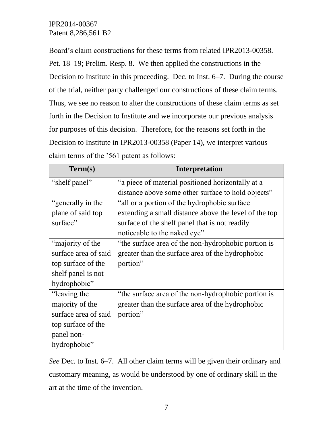Board's claim constructions for these terms from related IPR2013-00358. Pet. 18–19; Prelim. Resp. 8. We then applied the constructions in the Decision to Institute in this proceeding. Dec. to Inst. 6–7. During the course of the trial, neither party challenged our constructions of these claim terms. Thus, we see no reason to alter the constructions of these claim terms as set forth in the Decision to Institute and we incorporate our previous analysis for purposes of this decision. Therefore, for the reasons set forth in the Decision to Institute in IPR2013-00358 (Paper 14), we interpret various claim terms of the '561 patent as follows:

| Term(s)              | <b>Interpretation</b>                                 |
|----------------------|-------------------------------------------------------|
| "shelf panel"        | "a piece of material positioned horizontally at a     |
|                      | distance above some other surface to hold objects"    |
| "generally in the    | "all or a portion of the hydrophobic surface"         |
| plane of said top    | extending a small distance above the level of the top |
| surface"             | surface of the shelf panel that is not readily        |
|                      | noticeable to the naked eye"                          |
| "majority of the     | "the surface area of the non-hydrophobic portion is   |
| surface area of said | greater than the surface area of the hydrophobic      |
| top surface of the   | portion"                                              |
| shelf panel is not   |                                                       |
| hydrophobic"         |                                                       |
| "leaving the         | "the surface area of the non-hydrophobic portion is   |
| majority of the      | greater than the surface area of the hydrophobic      |
| surface area of said | portion"                                              |
| top surface of the   |                                                       |
| panel non-           |                                                       |
| hydrophobic"         |                                                       |

*See* Dec. to Inst. 6–7. All other claim terms will be given their ordinary and customary meaning, as would be understood by one of ordinary skill in the art at the time of the invention.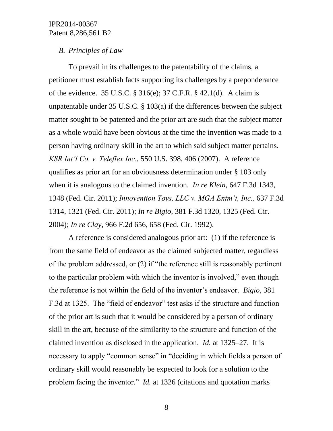#### *B. Principles of Law*

To prevail in its challenges to the patentability of the claims, a petitioner must establish facts supporting its challenges by a preponderance of the evidence. 35 U.S.C. § 316(e); 37 C.F.R. § 42.1(d). A claim is unpatentable under 35 U.S.C. § 103(a) if the differences between the subject matter sought to be patented and the prior art are such that the subject matter as a whole would have been obvious at the time the invention was made to a person having ordinary skill in the art to which said subject matter pertains. *KSR Int'l Co. v. Teleflex Inc.*, 550 U.S. 398, 406 (2007). A reference qualifies as prior art for an obviousness determination under § 103 only when it is analogous to the claimed invention. *In re Klein*, 647 F.3d 1343, 1348 (Fed. Cir. 2011); *Innovention Toys, LLC v. MGA Entm't, Inc.,* 637 F.3d 1314, 1321 (Fed. Cir. 2011); *In re Bigio,* 381 F.3d 1320, 1325 (Fed. Cir. 2004); *In re Clay,* [966 F.2d 656, 658 \(Fed. Cir. 1992\).](http://web2.westlaw.com/find/default.wl?mt=TabTemplate1&db=350&rs=WLW13.10&tc=-1&rp=%2ffind%2fdefault.wl&findtype=Y&ordoc=2025408563&serialnum=1992105791&vr=2.0&fn=_top&sv=Split&tf=-1&referencepositiontype=S&pbc=2FC31FFB&referenceposition=658&utid=1)

A reference is considered analogous prior art: (1) if the reference is from the same field of endeavor as the claimed subjected matter, regardless of the problem addressed, or (2) if "the reference still is reasonably pertinent to the particular problem with which the inventor is involved," even though the reference is not within the field of the inventor's endeavor. *Bigio*, 381 F.3d at 1325. The "field of endeavor" test asks if the structure and function of the prior art is such that it would be considered by a person of ordinary skill in the art, because of the similarity to the structure and function of the claimed invention as disclosed in the application. *Id.* at 1325–27. It is necessary to apply "common sense" in "deciding in which fields a person of ordinary skill would reasonably be expected to look for a solution to the problem facing the inventor." *Id.* at 1326 (citations and quotation marks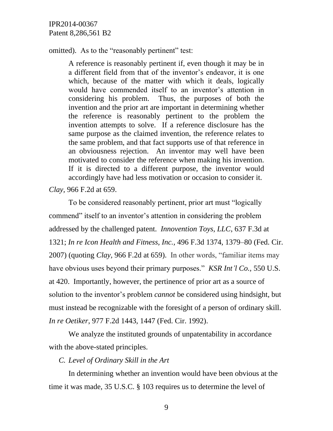omitted). As to the "reasonably pertinent" test:

A reference is reasonably pertinent if, even though it may be in a different field from that of the inventor's endeavor, it is one which, because of the matter with which it deals, logically would have commended itself to an inventor's attention in considering his problem. Thus, the purposes of both the invention and the prior art are important in determining whether the reference is reasonably pertinent to the problem the invention attempts to solve. If a reference disclosure has the same purpose as the claimed invention, the reference relates to the same problem, and that fact supports use of that reference in an obviousness rejection. An inventor may well have been motivated to consider the reference when making his invention. If it is directed to a different purpose, the inventor would accordingly have had less motivation or occasion to consider it.

*Clay,* [966 F.2d at 659.](https://a.next.westlaw.com/Link/Document/FullText?findType=Y&serNum=1992105791&pubNum=350&fi=co_pp_sp_350_659&originationContext=document&transitionType=DocumentItem&contextData=(sc.Search)#co_pp_sp_350_659)

To be considered reasonably pertinent, prior art must "logically commend" itself to an inventor's attention in considering the problem addressed by the challenged patent. *Innovention Toys, LLC*, 637 F.3d at 1321; *In re Icon Health and Fitness, Inc.,* 496 F.3d 1374, 1379–80 (Fed. Cir. 2007) (quoting *Clay,* 966 F.2d at 659). In other words, "familiar items may have obvious uses beyond their primary purposes." *KSR Int'l Co.,* 550 U.S. at 420. Importantly, however, the pertinence of prior art as a source of solution to the inventor's problem *cannot* be considered using hindsight, but must instead be recognizable with the foresight of a person of ordinary skill. *In re Oetiker*, 977 F.2d 1443, 1447 (Fed. Cir. 1992).

We analyze the instituted grounds of unpatentability in accordance with the above-stated principles.

*C. Level of Ordinary Skill in the Art*

In determining whether an invention would have been obvious at the time it was made, 35 U.S.C. § 103 requires us to determine the level of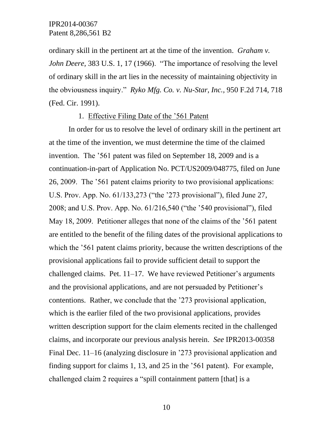ordinary skill in the pertinent art at the time of the invention. *Graham v. John Deere,* 383 U.S. 1, 17 (1966). "The importance of resolving the level of ordinary skill in the art lies in the necessity of maintaining objectivity in the obviousness inquiry." *Ryko Mfg. Co. v. Nu-Star, Inc.,* 950 F.2d 714, 718 (Fed. Cir. 1991).

#### 1. Effective Filing Date of the '561 Patent

In order for us to resolve the level of ordinary skill in the pertinent art at the time of the invention, we must determine the time of the claimed invention. The '561 patent was filed on September 18, 2009 and is a continuation-in-part of Application No. PCT/US2009/048775, filed on June 26, 2009. The '561 patent claims priority to two provisional applications: U.S. Prov. App. No. 61/133,273 ("the '273 provisional"), filed June 27, 2008; and U.S. Prov. App. No. 61/216,540 ("the '540 provisional"), filed May 18, 2009. Petitioner alleges that none of the claims of the '561 patent are entitled to the benefit of the filing dates of the provisional applications to which the '561 patent claims priority, because the written descriptions of the provisional applications fail to provide sufficient detail to support the challenged claims. Pet. 11–17. We have reviewed Petitioner's arguments and the provisional applications, and are not persuaded by Petitioner's contentions. Rather, we conclude that the '273 provisional application, which is the earlier filed of the two provisional applications, provides written description support for the claim elements recited in the challenged claims, and incorporate our previous analysis herein. *See* IPR2013-00358 Final Dec. 11–16 (analyzing disclosure in '273 provisional application and finding support for claims 1, 13, and 25 in the '561 patent). For example, challenged claim 2 requires a "spill containment pattern [that] is a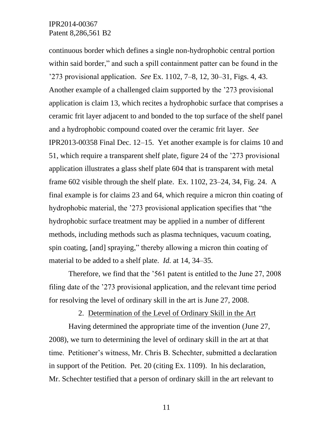continuous border which defines a single non-hydrophobic central portion within said border," and such a spill containment patter can be found in the '273 provisional application. *See* Ex. 1102, 7–8, 12, 30–31, Figs. 4, 43. Another example of a challenged claim supported by the '273 provisional application is claim 13, which recites a hydrophobic surface that comprises a ceramic frit layer adjacent to and bonded to the top surface of the shelf panel and a hydrophobic compound coated over the ceramic frit layer. *See* IPR2013-00358 Final Dec. 12–15. Yet another example is for claims 10 and 51, which require a transparent shelf plate, figure 24 of the '273 provisional application illustrates a glass shelf plate 604 that is transparent with metal frame 602 visible through the shelf plate. Ex. 1102, 23–24, 34, Fig. 24. A final example is for claims 23 and 64, which require a micron thin coating of hydrophobic material, the '273 provisional application specifies that "the hydrophobic surface treatment may be applied in a number of different methods, including methods such as plasma techniques, vacuum coating, spin coating, [and] spraying," thereby allowing a micron thin coating of material to be added to a shelf plate. *Id.* at 14, 34–35.

Therefore, we find that the '561 patent is entitled to the June 27, 2008 filing date of the '273 provisional application, and the relevant time period for resolving the level of ordinary skill in the art is June 27, 2008.

2. Determination of the Level of Ordinary Skill in the Art

Having determined the appropriate time of the invention (June 27, 2008), we turn to determining the level of ordinary skill in the art at that time. Petitioner's witness, Mr. Chris B. Schechter, submitted a declaration in support of the Petition. Pet. 20 (citing Ex. 1109). In his declaration, Mr. Schechter testified that a person of ordinary skill in the art relevant to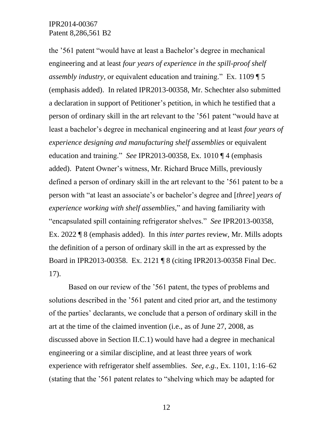the '561 patent "would have at least a Bachelor's degree in mechanical engineering and at least *four years of experience in the spill-proof shelf assembly industry*, or equivalent education and training." Ex. 1109 ¶ 5 (emphasis added). In related IPR2013-00358, Mr. Schechter also submitted a declaration in support of Petitioner's petition, in which he testified that a person of ordinary skill in the art relevant to the '561 patent "would have at least a bachelor's degree in mechanical engineering and at least *four years of experience designing and manufacturing shelf assemblies* or equivalent education and training." *See* IPR2013-00358, Ex. 1010 ¶ 4 (emphasis added). Patent Owner's witness, Mr. Richard Bruce Mills, previously defined a person of ordinary skill in the art relevant to the '561 patent to be a person with "at least an associate's or bachelor's degree and [*three*] *years of experience working with shelf assemblies*," and having familiarity with "encapsulated spill containing refrigerator shelves." *See* IPR2013-00358, Ex. 2022 ¶ 8 (emphasis added). In this *inter partes* review, Mr. Mills adopts the definition of a person of ordinary skill in the art as expressed by the Board in IPR2013-00358. Ex. 2121 ¶ 8 (citing IPR2013-00358 Final Dec. 17).

Based on our review of the '561 patent, the types of problems and solutions described in the '561 patent and cited prior art, and the testimony of the parties' declarants, we conclude that a person of ordinary skill in the art at the time of the claimed invention (i.e., as of June 27, 2008, as discussed above in Section II.C.1) would have had a degree in mechanical engineering or a similar discipline, and at least three years of work experience with refrigerator shelf assemblies. *See, e.g.*, Ex. 1101, 1:16–62 (stating that the '561 patent relates to "shelving which may be adapted for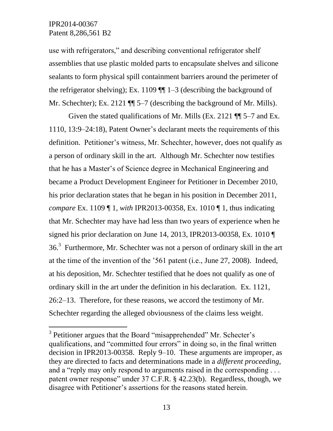$\overline{a}$ 

use with refrigerators," and describing conventional refrigerator shelf assemblies that use plastic molded parts to encapsulate shelves and silicone sealants to form physical spill containment barriers around the perimeter of the refrigerator shelving); Ex. 1109  $\P$  1–3 (describing the background of Mr. Schechter); Ex. 2121 ¶¶ 5–7 (describing the background of Mr. Mills).

Given the stated qualifications of Mr. Mills (Ex. 2121 ¶¶ 5–7 and Ex. 1110, 13:9–24:18), Patent Owner's declarant meets the requirements of this definition. Petitioner's witness, Mr. Schechter, however, does not qualify as a person of ordinary skill in the art. Although Mr. Schechter now testifies that he has a Master's of Science degree in Mechanical Engineering and became a Product Development Engineer for Petitioner in December 2010, his prior declaration states that he began in his position in December 2011, *compare* Ex. 1109 ¶ 1, *with* IPR2013-00358, Ex. 1010 ¶ 1, thus indicating that Mr. Schechter may have had less than two years of experience when he signed his prior declaration on June 14, 2013, IPR2013-00358, Ex. 1010 ¶ 36.<sup>3</sup> Furthermore, Mr. Schechter was not a person of ordinary skill in the art at the time of the invention of the '561 patent (i.e., June 27, 2008). Indeed, at his deposition, Mr. Schechter testified that he does not qualify as one of ordinary skill in the art under the definition in his declaration. Ex. 1121, 26:2–13. Therefore, for these reasons, we accord the testimony of Mr. Schechter regarding the alleged obviousness of the claims less weight.

<sup>&</sup>lt;sup>3</sup> Petitioner argues that the Board "misapprehended" Mr. Schecter's qualifications, and "committed four errors" in doing so, in the final written decision in IPR2013-00358. Reply 9–10. These arguments are improper, as they are directed to facts and determinations made in a *different proceeding*, and a "reply may only respond to arguments raised in the corresponding ... patent owner response" under 37 C.F.R. § 42.23(b). Regardless, though, we disagree with Petitioner's assertions for the reasons stated herein.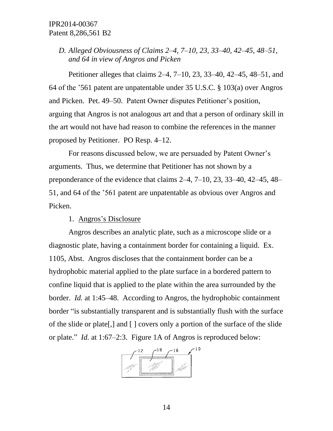# *D. Alleged Obviousness of Claims 2–4, 7–10, 23, 33–40, 42–45, 48–51, and 64 in view of Angros and Picken*

Petitioner alleges that claims 2–4, 7–10, 23, 33–40, 42–45, 48–51, and 64 of the '561 patent are unpatentable under 35 U.S.C. § 103(a) over Angros and Picken. Pet. 49–50. Patent Owner disputes Petitioner's position, arguing that Angros is not analogous art and that a person of ordinary skill in the art would not have had reason to combine the references in the manner proposed by Petitioner. PO Resp. 4–12.

For reasons discussed below, we are persuaded by Patent Owner's arguments. Thus, we determine that Petitioner has not shown by a preponderance of the evidence that claims 2–4, 7–10, 23, 33–40, 42–45, 48– 51, and 64 of the '561 patent are unpatentable as obvious over Angros and Picken.

## 1. Angros's Disclosure

Angros describes an analytic plate, such as a microscope slide or a diagnostic plate, having a containment border for containing a liquid. Ex. 1105, Abst. Angros discloses that the containment border can be a hydrophobic material applied to the plate surface in a bordered pattern to confine liquid that is applied to the plate within the area surrounded by the border. *Id.* at 1:45–48. According to Angros, the hydrophobic containment border "is substantially transparent and is substantially flush with the surface of the slide or plate[,] and [ ] covers only a portion of the surface of the slide or plate." *Id.* at 1:67–2:3. Figure 1A of Angros is reproduced below:

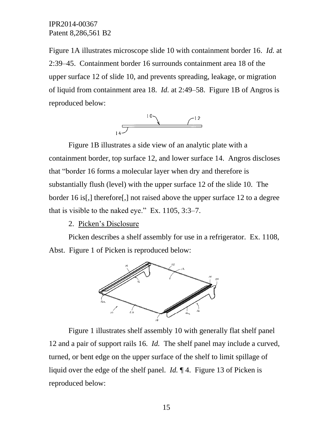Figure 1A illustrates microscope slide 10 with containment border 16. *Id.* at 2:39–45. Containment border 16 surrounds containment area 18 of the upper surface 12 of slide 10, and prevents spreading, leakage, or migration of liquid from containment area 18. *Id.* at 2:49–58. Figure 1B of Angros is reproduced below:



Figure 1B illustrates a side view of an analytic plate with a containment border, top surface 12, and lower surface 14. Angros discloses that "border 16 forms a molecular layer when dry and therefore is substantially flush (level) with the upper surface 12 of the slide 10. The border 16 is[,] therefore[,] not raised above the upper surface 12 to a degree that is visible to the naked eye." Ex. 1105, 3:3–7.

## 2. Picken's Disclosure

Picken describes a shelf assembly for use in a refrigerator. Ex. 1108, Abst. Figure 1 of Picken is reproduced below:



Figure 1 illustrates shelf assembly 10 with generally flat shelf panel 12 and a pair of support rails 16. *Id.* The shelf panel may include a curved, turned, or bent edge on the upper surface of the shelf to limit spillage of liquid over the edge of the shelf panel. *Id.* ¶ 4. Figure 13 of Picken is reproduced below: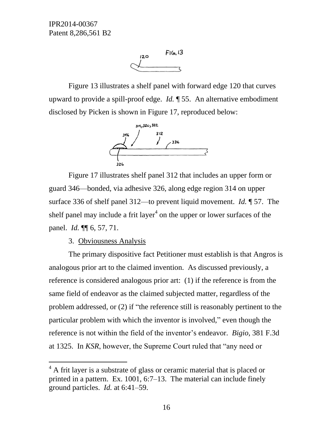

Figure 13 illustrates a shelf panel with forward edge 120 that curves upward to provide a spill-proof edge. *Id.* ¶ 55. An alternative embodiment disclosed by Picken is shown in Figure 17, reproduced below:



Figure 17 illustrates shelf panel 312 that includes an upper form or guard 346—bonded, via adhesive 326, along edge region 314 on upper surface 336 of shelf panel 312—to prevent liquid movement. *Id.* ¶ 57. The shelf panel may include a frit layer<sup>4</sup> on the upper or lower surfaces of the panel. *Id.* ¶¶ 6, 57, 71.

3. Obviousness Analysis

l

The primary dispositive fact Petitioner must establish is that Angros is analogous prior art to the claimed invention. As discussed previously, a reference is considered analogous prior art: (1) if the reference is from the same field of endeavor as the claimed subjected matter, regardless of the problem addressed, or (2) if "the reference still is reasonably pertinent to the particular problem with which the inventor is involved," even though the reference is not within the field of the inventor's endeavor. *Bigio*, 381 F.3d at 1325. In *KSR*, however, the Supreme Court ruled that "any need or

 $4$  A frit layer is a substrate of glass or ceramic material that is placed or printed in a pattern. Ex. 1001, 6:7–13. The material can include finely ground particles. *Id.* at 6:41–59.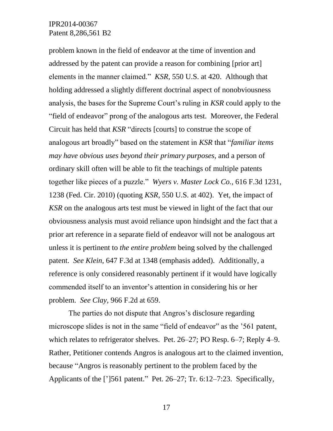problem known in the field of endeavor at the time of invention and addressed by the patent can provide a reason for combining [prior art] elements in the manner claimed." *KSR*, 550 U.S. at 420. Although that holding addressed a slightly different doctrinal aspect of nonobviousness analysis, the bases for the Supreme Court's ruling in *KSR* could apply to the "field of endeavor" prong of the analogous arts test. Moreover, the Federal Circuit has held that *KSR* "directs [courts] to construe the scope of analogous art broadly" based on the statement in *KSR* that "*familiar items may have obvious uses beyond their primary purposes*, and a person of ordinary skill often will be able to fit the teachings of multiple patents together like pieces of a puzzle." *Wyers v. Master Lock Co.*, 616 F.3d 1231, 1238 (Fed. Cir. 2010) (quoting *KSR*, 550 U.S. at 402). Yet, the impact of *KSR* on the analogous arts test must be viewed in light of the fact that our obviousness analysis must avoid reliance upon hindsight and the fact that a prior art reference in a separate field of endeavor will not be analogous art unless it is pertinent to *the entire problem* being solved by the challenged patent. *See Klein*, 647 F.3d at 1348 (emphasis added). Additionally, a reference is only considered reasonably pertinent if it would have logically commended itself to an inventor's attention in considering his or her problem. *See Clay*, 966 F.2d at 659.

The parties do not dispute that Angros's disclosure regarding microscope slides is not in the same "field of endeavor" as the '561 patent, which relates to refrigerator shelves. Pet. 26–27; PO Resp. 6–7; Reply 4–9. Rather, Petitioner contends Angros is analogous art to the claimed invention, because "Angros is reasonably pertinent to the problem faced by the Applicants of the [']561 patent." Pet. 26–27; Tr. 6:12–7:23. Specifically,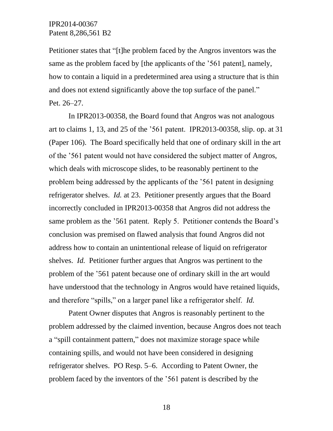Petitioner states that "[t]he problem faced by the Angros inventors was the same as the problem faced by [the applicants of the '561 patent], namely, how to contain a liquid in a predetermined area using a structure that is thin and does not extend significantly above the top surface of the panel." Pet. 26–27.

In IPR2013-00358, the Board found that Angros was not analogous art to claims 1, 13, and 25 of the '561 patent. IPR2013-00358, slip. op. at 31 (Paper 106). The Board specifically held that one of ordinary skill in the art of the '561 patent would not have considered the subject matter of Angros, which deals with microscope slides, to be reasonably pertinent to the problem being addressed by the applicants of the '561 patent in designing refrigerator shelves. *Id.* at 23. Petitioner presently argues that the Board incorrectly concluded in IPR2013-00358 that Angros did not address the same problem as the '561 patent. Reply 5. Petitioner contends the Board's conclusion was premised on flawed analysis that found Angros did not address how to contain an unintentional release of liquid on refrigerator shelves. *Id.* Petitioner further argues that Angros was pertinent to the problem of the '561 patent because one of ordinary skill in the art would have understood that the technology in Angros would have retained liquids, and therefore "spills," on a larger panel like a refrigerator shelf. *Id.*

Patent Owner disputes that Angros is reasonably pertinent to the problem addressed by the claimed invention, because Angros does not teach a "spill containment pattern," does not maximize storage space while containing spills, and would not have been considered in designing refrigerator shelves. PO Resp. 5–6. According to Patent Owner, the problem faced by the inventors of the '561 patent is described by the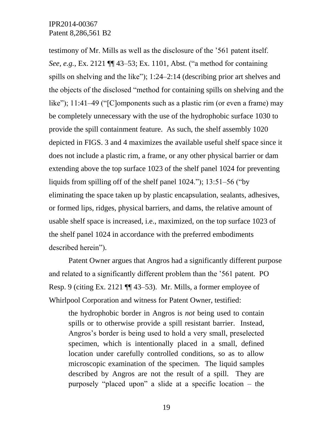testimony of Mr. Mills as well as the disclosure of the '561 patent itself. *See, e.g.*, Ex. 2121 ¶¶ 43–53; Ex. 1101, Abst. ("a method for containing spills on shelving and the like"); 1:24–2:14 (describing prior art shelves and the objects of the disclosed "method for containing spills on shelving and the like"); 11:41–49 ("[C]omponents such as a plastic rim (or even a frame) may be completely unnecessary with the use of the hydrophobic surface 1030 to provide the spill containment feature. As such, the shelf assembly 1020 depicted in FIGS. 3 and 4 maximizes the available useful shelf space since it does not include a plastic rim, a frame, or any other physical barrier or dam extending above the top surface 1023 of the shelf panel 1024 for preventing liquids from spilling off of the shelf panel 1024."); 13:51–56 ("by eliminating the space taken up by plastic encapsulation, sealants, adhesives, or formed lips, ridges, physical barriers, and dams, the relative amount of usable shelf space is increased, i.e., maximized, on the top surface 1023 of the shelf panel 1024 in accordance with the preferred embodiments described herein").

Patent Owner argues that Angros had a significantly different purpose and related to a significantly different problem than the '561 patent. PO Resp. 9 (citing Ex. 2121 ¶¶ 43–53). Mr. Mills, a former employee of Whirlpool Corporation and witness for Patent Owner, testified:

the hydrophobic border in Angros is *not* being used to contain spills or to otherwise provide a spill resistant barrier. Instead, Angros's border is being used to hold a very small, preselected specimen, which is intentionally placed in a small, defined location under carefully controlled conditions, so as to allow microscopic examination of the specimen. The liquid samples described by Angros are not the result of a spill. They are purposely "placed upon" a slide at a specific location – the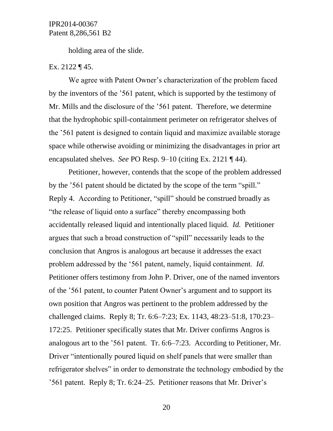holding area of the slide.

#### Ex. 2122 ¶ 45.

We agree with Patent Owner's characterization of the problem faced by the inventors of the '561 patent, which is supported by the testimony of Mr. Mills and the disclosure of the '561 patent. Therefore, we determine that the hydrophobic spill-containment perimeter on refrigerator shelves of the '561 patent is designed to contain liquid and maximize available storage space while otherwise avoiding or minimizing the disadvantages in prior art encapsulated shelves. *See* PO Resp. 9–10 (citing Ex. 2121 ¶ 44).

Petitioner, however, contends that the scope of the problem addressed by the '561 patent should be dictated by the scope of the term "spill." Reply 4. According to Petitioner, "spill" should be construed broadly as "the release of liquid onto a surface" thereby encompassing both accidentally released liquid and intentionally placed liquid. *Id.* Petitioner argues that such a broad construction of "spill" necessarily leads to the conclusion that Angros is analogous art because it addresses the exact problem addressed by the '561 patent, namely, liquid containment. *Id.* Petitioner offers testimony from John P. Driver, one of the named inventors of the '561 patent, to counter Patent Owner's argument and to support its own position that Angros was pertinent to the problem addressed by the challenged claims. Reply 8; Tr. 6:6–7:23; Ex. 1143, 48:23–51:8, 170:23– 172:25. Petitioner specifically states that Mr. Driver confirms Angros is analogous art to the '561 patent. Tr. 6:6–7:23. According to Petitioner, Mr. Driver "intentionally poured liquid on shelf panels that were smaller than refrigerator shelves" in order to demonstrate the technology embodied by the '561 patent. Reply 8; Tr. 6:24–25. Petitioner reasons that Mr. Driver's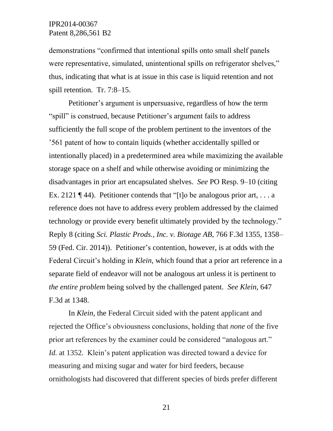demonstrations "confirmed that intentional spills onto small shelf panels were representative, simulated, unintentional spills on refrigerator shelves," thus, indicating that what is at issue in this case is liquid retention and not spill retention. Tr. 7:8–15.

Petitioner's argument is unpersuasive, regardless of how the term "spill" is construed, because Petitioner's argument fails to address sufficiently the full scope of the problem pertinent to the inventors of the '561 patent of how to contain liquids (whether accidentally spilled or intentionally placed) in a predetermined area while maximizing the available storage space on a shelf and while otherwise avoiding or minimizing the disadvantages in prior art encapsulated shelves. *See* PO Resp. 9–10 (citing Ex. 2121 ¶ 44). Petitioner contends that "[t]o be analogous prior art, ... a reference does not have to address every problem addressed by the claimed technology or provide every benefit ultimately provided by the technology." Reply 8 (citing *Sci. Plastic Prods., Inc. v. Biotage AB*, 766 F.3d 1355, 1358– 59 (Fed. Cir. 2014)). Petitioner's contention, however, is at odds with the Federal Circuit's holding in *Klein*, which found that a prior art reference in a separate field of endeavor will not be analogous art unless it is pertinent to *the entire problem* being solved by the challenged patent. *See Klein*, 647 F.3d at 1348.

In *Klein*, the Federal Circuit sided with the patent applicant and rejected the Office's obviousness conclusions, holding that *none* of the five prior art references by the examiner could be considered "analogous art." *Id.* at 1352. Klein's patent application was directed toward a device for measuring and mixing sugar and water for bird feeders, because ornithologists had discovered that different species of birds prefer different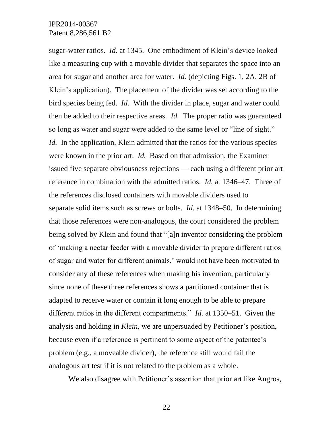sugar-water ratios. *Id.* at 1345. One embodiment of Klein's device looked like a measuring cup with a movable divider that separates the space into an area for sugar and another area for water. *Id.* (depicting Figs. 1, 2A, 2B of Klein's application). The placement of the divider was set according to the bird species being fed. *Id.* With the divider in place, sugar and water could then be added to their respective areas. *Id.* The proper ratio was guaranteed so long as water and sugar were added to the same level or "line of sight." *Id.* In the application, Klein admitted that the ratios for the various species were known in the prior art. *Id.* Based on that admission, the Examiner issued five separate obviousness rejections — each using a different prior art reference in combination with the admitted ratios. *Id.* at 1346–47. Three of the references disclosed containers with movable dividers used to separate solid items such as screws or bolts. *Id.* at 1348–50. In determining that those references were non-analogous, the court considered the problem being solved by Klein and found that "[a]n inventor considering the problem of 'making a nectar feeder with a movable divider to prepare different ratios of sugar and water for different animals,' would not have been motivated to consider any of these references when making his invention, particularly since none of these three references shows a partitioned container that is adapted to receive water or contain it long enough to be able to prepare different ratios in the different compartments." *Id.* at 1350–51. Given the analysis and holding in *Klein*, we are unpersuaded by Petitioner's position, because even if a reference is pertinent to some aspect of the patentee's problem (e.g., a moveable divider), the reference still would fail the analogous art test if it is not related to the problem as a whole.

We also disagree with Petitioner's assertion that prior art like Angros,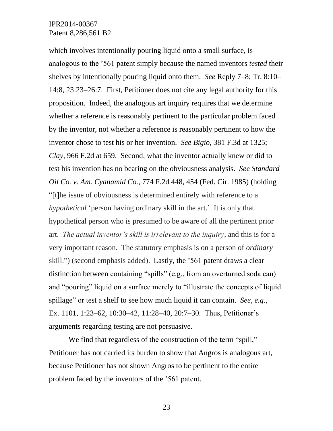which involves intentionally pouring liquid onto a small surface, is analogous to the '561 patent simply because the named inventors *tested* their shelves by intentionally pouring liquid onto them. *See* Reply 7–8; Tr. 8:10– 14:8, 23:23–26:7. First, Petitioner does not cite any legal authority for this proposition. Indeed, the analogous art inquiry requires that we determine whether a reference is reasonably pertinent to the particular problem faced by the inventor, not whether a reference is reasonably pertinent to how the inventor chose to test his or her invention. *See Bigio*, 381 F.3d at 1325; *Clay*, 966 F.2d at 659. Second, what the inventor actually knew or did to test his invention has no bearing on the obviousness analysis. *See Standard Oil Co. v. Am. Cyanamid Co.,* 774 F.2d 448, 454 (Fed. Cir. 1985) (holding "[t]he issue of obviousness is determined entirely with reference to a *hypothetical* 'person having ordinary skill in the art.' It is only that hypothetical person who is presumed to be aware of all the pertinent prior art. *The actual inventor's skill is irrelevant to the inquiry*, and this is for a very important reason. The statutory emphasis is on a person of *ordinary* skill.") (second emphasis added). Lastly, the '561 patent draws a clear distinction between containing "spills" (e.g., from an overturned soda can) and "pouring" liquid on a surface merely to "illustrate the concepts of liquid spillage" or test a shelf to see how much liquid it can contain. *See, e.g.*, Ex. 1101, 1:23–62, 10:30–42, 11:28–40, 20:7–30. Thus, Petitioner's arguments regarding testing are not persuasive.

We find that regardless of the construction of the term "spill," Petitioner has not carried its burden to show that Angros is analogous art, because Petitioner has not shown Angros to be pertinent to the entire problem faced by the inventors of the '561 patent.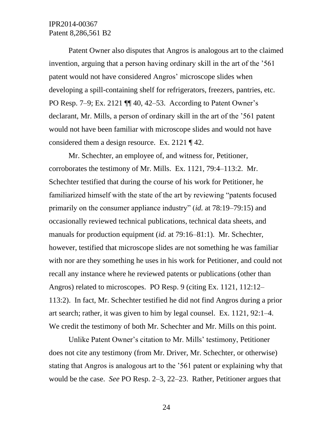Patent Owner also disputes that Angros is analogous art to the claimed invention, arguing that a person having ordinary skill in the art of the '561 patent would not have considered Angros' microscope slides when developing a spill-containing shelf for refrigerators, freezers, pantries, etc. PO Resp. 7–9; Ex. 2121 ¶¶ 40, 42–53. According to Patent Owner's declarant, Mr. Mills, a person of ordinary skill in the art of the '561 patent would not have been familiar with microscope slides and would not have considered them a design resource. Ex. 2121 ¶ 42.

Mr. Schechter, an employee of, and witness for, Petitioner, corroborates the testimony of Mr. Mills. Ex. 1121, 79:4–113:2. Mr. Schechter testified that during the course of his work for Petitioner, he familiarized himself with the state of the art by reviewing "patents focused primarily on the consumer appliance industry" (*id.* at 78:19–79:15) and occasionally reviewed technical publications, technical data sheets, and manuals for production equipment (*id.* at 79:16–81:1). Mr. Schechter, however, testified that microscope slides are not something he was familiar with nor are they something he uses in his work for Petitioner, and could not recall any instance where he reviewed patents or publications (other than Angros) related to microscopes. PO Resp. 9 (citing Ex. 1121, 112:12– 113:2). In fact, Mr. Schechter testified he did not find Angros during a prior art search; rather, it was given to him by legal counsel. Ex. 1121, 92:1–4. We credit the testimony of both Mr. Schechter and Mr. Mills on this point.

Unlike Patent Owner's citation to Mr. Mills' testimony, Petitioner does not cite any testimony (from Mr. Driver, Mr. Schechter, or otherwise) stating that Angros is analogous art to the '561 patent or explaining why that would be the case. *See* PO Resp. 2–3, 22–23. Rather, Petitioner argues that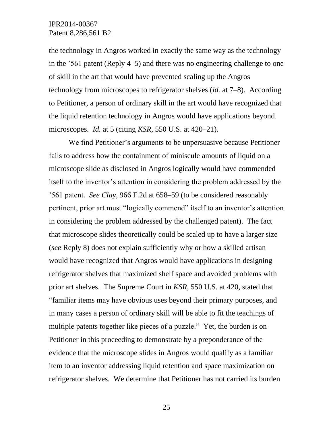the technology in Angros worked in exactly the same way as the technology in the '561 patent (Reply 4–5) and there was no engineering challenge to one of skill in the art that would have prevented scaling up the Angros technology from microscopes to refrigerator shelves (*id.* at 7–8). According to Petitioner, a person of ordinary skill in the art would have recognized that the liquid retention technology in Angros would have applications beyond microscopes. *Id.* at 5 (citing *KSR,* 550 U.S. at 420–21).

We find Petitioner's arguments to be unpersuasive because Petitioner fails to address how the containment of miniscule amounts of liquid on a microscope slide as disclosed in Angros logically would have commended itself to the inventor's attention in considering the problem addressed by the '561 patent. *See Clay,* 966 F.2d at 658–59 (to be considered reasonably pertinent, prior art must "logically commend" itself to an inventor's attention in considering the problem addressed by the challenged patent). The fact that microscope slides theoretically could be scaled up to have a larger size (*see* Reply 8) does not explain sufficiently why or how a skilled artisan would have recognized that Angros would have applications in designing refrigerator shelves that maximized shelf space and avoided problems with prior art shelves. The Supreme Court in *KSR,* 550 U.S. at 420, stated that "familiar items may have obvious uses beyond their primary purposes*,* and in many cases a person of ordinary skill will be able to fit the teachings of multiple patents together like pieces of a puzzle." Yet, the burden is on Petitioner in this proceeding to demonstrate by a preponderance of the evidence that the microscope slides in Angros would qualify as a familiar item to an inventor addressing liquid retention and space maximization on refrigerator shelves. We determine that Petitioner has not carried its burden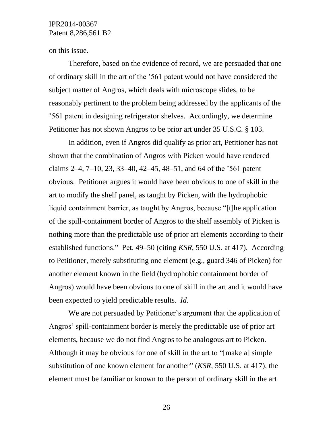on this issue.

Therefore, based on the evidence of record, we are persuaded that one of ordinary skill in the art of the '561 patent would not have considered the subject matter of Angros, which deals with microscope slides, to be reasonably pertinent to the problem being addressed by the applicants of the '561 patent in designing refrigerator shelves. Accordingly, we determine Petitioner has not shown Angros to be prior art under 35 U.S.C. § 103.

In addition, even if Angros did qualify as prior art, Petitioner has not shown that the combination of Angros with Picken would have rendered claims 2–4, 7–10, 23, 33–40, 42–45, 48–51, and 64 of the '561 patent obvious. Petitioner argues it would have been obvious to one of skill in the art to modify the shelf panel, as taught by Picken, with the hydrophobic liquid containment barrier, as taught by Angros, because "[t]he application of the spill-containment border of Angros to the shelf assembly of Picken is nothing more than the predictable use of prior art elements according to their established functions." Pet. 49–50 (citing *KSR*, 550 U.S. at 417). According to Petitioner, merely substituting one element (e.g., guard 346 of Picken) for another element known in the field (hydrophobic containment border of Angros) would have been obvious to one of skill in the art and it would have been expected to yield predictable results. *Id.*

We are not persuaded by Petitioner's argument that the application of Angros' spill-containment border is merely the predictable use of prior art elements, because we do not find Angros to be analogous art to Picken. Although it may be obvious for one of skill in the art to "[make a] simple substitution of one known element for another" (*KSR*, 550 U.S. at 417), the element must be familiar or known to the person of ordinary skill in the art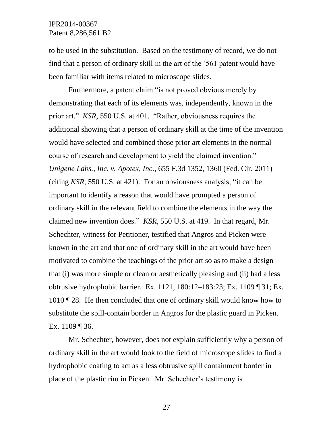to be used in the substitution. Based on the testimony of record, we do not find that a person of ordinary skill in the art of the '561 patent would have been familiar with items related to microscope slides.

Furthermore, a patent claim "is not proved obvious merely by demonstrating that each of its elements was, independently, known in the prior art." *KSR*, 550 U.S. at 401. "Rather, obviousness requires the additional showing that a person of ordinary skill at the time of the invention would have selected and combined those prior art elements in the normal course of research and development to yield the claimed invention." *Unigene Labs., Inc. v. Apotex, Inc.*, 655 F.3d 1352, 1360 (Fed. Cir. 2011) (citing *KSR*, 550 U.S. at 421). For an obviousness analysis, "it can be important to identify a reason that would have prompted a person of ordinary skill in the relevant field to combine the elements in the way the claimed new invention does." *KSR*, 550 U.S. at 419. In that regard, Mr. Schechter, witness for Petitioner, testified that Angros and Picken were known in the art and that one of ordinary skill in the art would have been motivated to combine the teachings of the prior art so as to make a design that (i) was more simple or clean or aesthetically pleasing and (ii) had a less obtrusive hydrophobic barrier. Ex. 1121, 180:12–183:23; Ex. 1109 ¶ 31; Ex. 1010 ¶ 28. He then concluded that one of ordinary skill would know how to substitute the spill-contain border in Angros for the plastic guard in Picken. Ex. 1109 ¶ 36.

Mr. Schechter, however, does not explain sufficiently why a person of ordinary skill in the art would look to the field of microscope slides to find a hydrophobic coating to act as a less obtrusive spill containment border in place of the plastic rim in Picken. Mr. Schechter's testimony is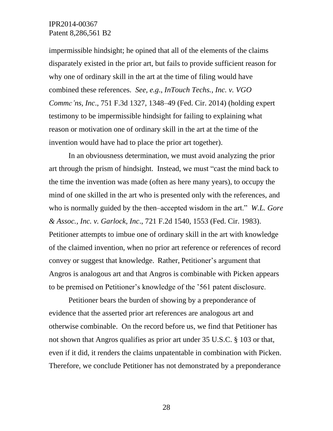impermissible hindsight; he opined that all of the elements of the claims disparately existed in the prior art, but fails to provide sufficient reason for why one of ordinary skill in the art at the time of filing would have combined these references. *See, e.g*., *[InTouch Techs., Inc. v. VGO](https://a.next.westlaw.com/Document/Id5fc2d64d79c11e390d4edf60ce7d742/View/FullText.html?listSource=Search&navigationPath=Search%2fv3%2fsearch%2fresults%2fnavigation%2fi0ad604060000014717c534f884606773%3fNav%3dCASE%26fragmentIdentifier%3dId5fc2d64d79c11e390d4edf60ce7d742%26startIndex%3d1%26contextData%3d%2528sc.Search%2529%26transitionType%3dSearchItem&list=CASE&rank=10&listPageSource=dc11b883e16b42df515147960271f429&originationContext=docHeader&contextData=(sc.Search)&transitionType=Document)  [Commc'ns, Inc](https://a.next.westlaw.com/Document/Id5fc2d64d79c11e390d4edf60ce7d742/View/FullText.html?listSource=Search&navigationPath=Search%2fv3%2fsearch%2fresults%2fnavigation%2fi0ad604060000014717c534f884606773%3fNav%3dCASE%26fragmentIdentifier%3dId5fc2d64d79c11e390d4edf60ce7d742%26startIndex%3d1%26contextData%3d%2528sc.Search%2529%26transitionType%3dSearchItem&list=CASE&rank=10&listPageSource=dc11b883e16b42df515147960271f429&originationContext=docHeader&contextData=(sc.Search)&transitionType=Document)*., 751 F.3d 1327, 1348–49 (Fed. Cir. 2014) (holding expert testimony to be impermissible hindsight for failing to explaining what reason or motivation one of ordinary skill in the art at the time of the invention would have had to place the prior art together).

In an obviousness determination, we must avoid analyzing the prior art through the prism of hindsight. Instead, we must "cast the mind back to the time the invention was made (often as here many years), to occupy the mind of one skilled in the art who is presented only with the references, and who is normally guided by the then–accepted wisdom in the art." *W.L. Gore & Assoc., Inc. v. Garlock, Inc*., 721 F.2d 1540, 1553 (Fed. Cir. 1983). Petitioner attempts to imbue one of ordinary skill in the art with knowledge of the claimed invention, when no prior art reference or references of record convey or suggest that knowledge. Rather, Petitioner's argument that Angros is analogous art and that Angros is combinable with Picken appears to be premised on Petitioner's knowledge of the '561 patent disclosure.

Petitioner bears the burden of showing by a preponderance of evidence that the asserted prior art references are analogous art and otherwise combinable. On the record before us, we find that Petitioner has not shown that Angros qualifies as prior art under 35 U.S.C. § 103 or that, even if it did, it renders the claims unpatentable in combination with Picken. Therefore, we conclude Petitioner has not demonstrated by a preponderance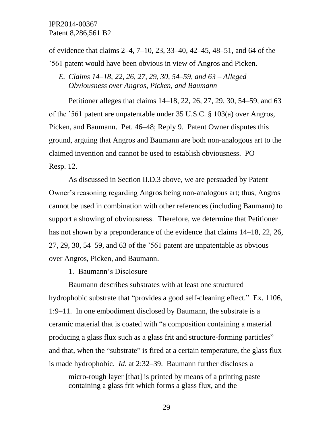of evidence that claims 2–4, 7–10, 23, 33–40, 42–45, 48–51, and 64 of the '561 patent would have been obvious in view of Angros and Picken.

*E. Claims 14–18, 22, 26, 27, 29, 30, 54*–*59, and 63 – Alleged Obviousness over Angros, Picken, and Baumann*

Petitioner alleges that claims 14–18, 22, 26, 27, 29, 30, 54–59, and 63 of the '561 patent are unpatentable under 35 U.S.C. § 103(a) over Angros, Picken, and Baumann. Pet. 46–48; Reply 9. Patent Owner disputes this ground, arguing that Angros and Baumann are both non-analogous art to the claimed invention and cannot be used to establish obviousness. PO Resp. 12.

As discussed in Section II.D.3 above, we are persuaded by Patent Owner's reasoning regarding Angros being non-analogous art; thus, Angros cannot be used in combination with other references (including Baumann) to support a showing of obviousness. Therefore, we determine that Petitioner has not shown by a preponderance of the evidence that claims 14–18, 22, 26, 27, 29, 30, 54–59, and 63 of the '561 patent are unpatentable as obvious over Angros, Picken, and Baumann.

1. Baumann's Disclosure

Baumann describes substrates with at least one structured hydrophobic substrate that "provides a good self-cleaning effect." Ex. 1106, 1:9–11. In one embodiment disclosed by Baumann, the substrate is a ceramic material that is coated with "a composition containing a material producing a glass flux such as a glass frit and structure-forming particles" and that, when the "substrate" is fired at a certain temperature, the glass flux is made hydrophobic. *Id.* at 2:32–39. Baumann further discloses a

micro-rough layer [that] is printed by means of a printing paste containing a glass frit which forms a glass flux, and the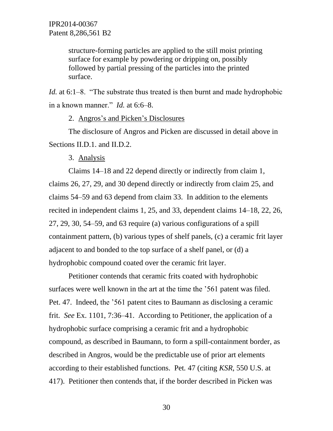structure-forming particles are applied to the still moist printing surface for example by powdering or dripping on, possibly followed by partial pressing of the particles into the printed surface.

*Id.* at 6:1–8. "The substrate thus treated is then burnt and made hydrophobic in a known manner." *Id.* at 6:6–8.

2. Angros's and Picken's Disclosures

The disclosure of Angros and Picken are discussed in detail above in Sections II.D.1. and II.D.2.

3. Analysis

Claims 14–18 and 22 depend directly or indirectly from claim 1, claims 26, 27, 29, and 30 depend directly or indirectly from claim 25, and claims 54–59 and 63 depend from claim 33. In addition to the elements recited in independent claims 1, 25, and 33, dependent claims 14–18, 22, 26, 27, 29, 30, 54–59, and 63 require (a) various configurations of a spill containment pattern, (b) various types of shelf panels, (c) a ceramic frit layer adjacent to and bonded to the top surface of a shelf panel, or (d) a hydrophobic compound coated over the ceramic frit layer.

Petitioner contends that ceramic frits coated with hydrophobic surfaces were well known in the art at the time the '561 patent was filed. Pet. 47. Indeed, the '561 patent cites to Baumann as disclosing a ceramic frit. *See* Ex. 1101, 7:36–41. According to Petitioner, the application of a hydrophobic surface comprising a ceramic frit and a hydrophobic compound, as described in Baumann, to form a spill-containment border, as described in Angros, would be the predictable use of prior art elements according to their established functions. Pet*.* 47 (citing *KSR*, 550 U.S. at 417). Petitioner then contends that, if the border described in Picken was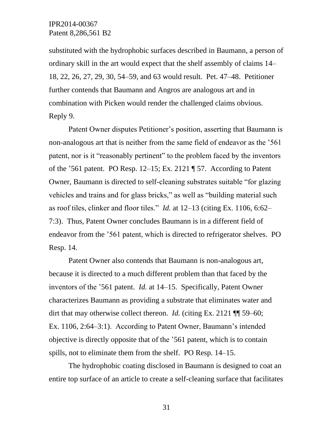substituted with the hydrophobic surfaces described in Baumann, a person of ordinary skill in the art would expect that the shelf assembly of claims 14– 18, 22, 26, 27, 29, 30, 54–59, and 63 would result. Pet. 47–48. Petitioner further contends that Baumann and Angros are analogous art and in combination with Picken would render the challenged claims obvious. Reply 9.

Patent Owner disputes Petitioner's position, asserting that Baumann is non-analogous art that is neither from the same field of endeavor as the '561 patent, nor is it "reasonably pertinent" to the problem faced by the inventors of the '561 patent. PO Resp. 12–15; Ex. 2121 ¶ 57. According to Patent Owner, Baumann is directed to self-cleaning substrates suitable "for glazing vehicles and trains and for glass bricks," as well as "building material such as roof tiles, clinker and floor tiles." *Id.* at 12–13 (citing Ex. 1106, 6:62– 7:3). Thus, Patent Owner concludes Baumann is in a different field of endeavor from the '561 patent, which is directed to refrigerator shelves. PO Resp. 14.

Patent Owner also contends that Baumann is non-analogous art, because it is directed to a much different problem than that faced by the inventors of the '561 patent. *Id.* at 14–15. Specifically, Patent Owner characterizes Baumann as providing a substrate that eliminates water and dirt that may otherwise collect thereon. *Id.* (citing Ex. 2121 ¶ 59–60; Ex. 1106, 2:64–3:1). According to Patent Owner, Baumann's intended objective is directly opposite that of the '561 patent, which is to contain spills, not to eliminate them from the shelf. PO Resp. 14–15.

The hydrophobic coating disclosed in Baumann is designed to coat an entire top surface of an article to create a self-cleaning surface that facilitates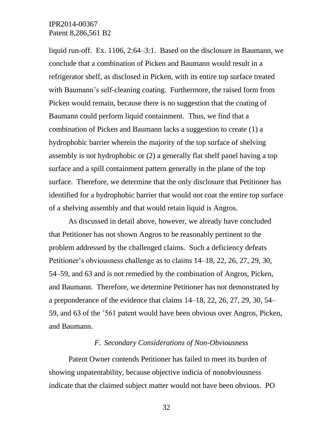liquid run-off. Ex. 1106, 2:64–3:1. Based on the disclosure in Baumann, we conclude that a combination of Picken and Baumann would result in a refrigerator shelf, as disclosed in Picken, with its entire top surface treated with Baumann's self-cleaning coating. Furthermore, the raised form from Picken would remain, because there is no suggestion that the coating of Baumann could perform liquid containment. Thus, we find that a combination of Picken and Baumann lacks a suggestion to create (1) a hydrophobic barrier wherein the majority of the top surface of shelving assembly is not hydrophobic or (2) a generally flat shelf panel having a top surface and a spill containment pattern generally in the plane of the top surface. Therefore, we determine that the only disclosure that Petitioner has identified for a hydrophobic barrier that would not coat the entire top surface of a shelving assembly and that would retain liquid is Angros.

As discussed in detail above, however, we already have concluded that Petitioner has not shown Angros to be reasonably pertinent to the problem addressed by the challenged claims. Such a deficiency defeats Petitioner's obviousness challenge as to claims 14–18, 22, 26, 27, 29, 30, 54–59, and 63 and is not remedied by the combination of Angros, Picken, and Baumann. Therefore, we determine Petitioner has not demonstrated by a preponderance of the evidence that claims 14–18, 22, 26, 27, 29, 30, 54– 59, and 63 of the '561 patent would have been obvious over Angros, Picken, and Baumann.

#### *F. Secondary Considerations of Non-Obviousness*

Patent Owner contends Petitioner has failed to meet its burden of showing unpatentability, because objective indicia of nonobviousness indicate that the claimed subject matter would not have been obvious. PO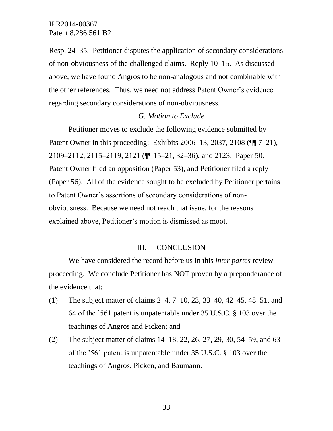Resp. 24–35. Petitioner disputes the application of secondary considerations of non-obviousness of the challenged claims. Reply 10–15. As discussed above, we have found Angros to be non-analogous and not combinable with the other references. Thus, we need not address Patent Owner's evidence regarding secondary considerations of non-obviousness.

#### *G. Motion to Exclude*

Petitioner moves to exclude the following evidence submitted by Patent Owner in this proceeding: Exhibits 2006–13, 2037, 2108 (¶¶ 7–21), 2109–2112, 2115–2119, 2121 (¶¶ 15–21, 32–36), and 2123. Paper 50. Patent Owner filed an opposition (Paper 53), and Petitioner filed a reply (Paper 56). All of the evidence sought to be excluded by Petitioner pertains to Patent Owner's assertions of secondary considerations of nonobviousness. Because we need not reach that issue, for the reasons explained above, Petitioner's motion is dismissed as moot.

#### III. CONCLUSION

We have considered the record before us in this *inter partes* review proceeding. We conclude Petitioner has NOT proven by a preponderance of the evidence that:

- (1) The subject matter of claims 2–4, 7–10, 23, 33–40, 42–45, 48–51, and 64 of the '561 patent is unpatentable under 35 U.S.C. § 103 over the teachings of Angros and Picken; and
- (2) The subject matter of claims 14–18, 22, 26, 27, 29, 30, 54–59, and 63 of the '561 patent is unpatentable under 35 U.S.C. § 103 over the teachings of Angros, Picken, and Baumann.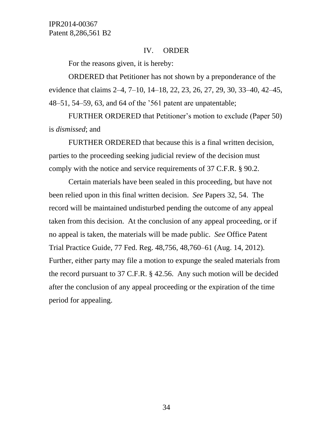#### IV. ORDER

For the reasons given, it is hereby:

ORDERED that Petitioner has not shown by a preponderance of the evidence that claims 2–4, 7–10, 14–18, 22, 23, 26, 27, 29, 30, 33–40, 42–45, 48–51, 54–59, 63, and 64 of the '561 patent are unpatentable;

FURTHER ORDERED that Petitioner's motion to exclude (Paper 50) is *dismissed*; and

FURTHER ORDERED that because this is a final written decision, parties to the proceeding seeking judicial review of the decision must comply with the notice and service requirements of 37 C.F.R. § 90.2.

Certain materials have been sealed in this proceeding, but have not been relied upon in this final written decision. *See* Papers 32, 54. The record will be maintained undisturbed pending the outcome of any appeal taken from this decision. At the conclusion of any appeal proceeding, or if no appeal is taken, the materials will be made public. *See* Office Patent Trial Practice Guide, 77 Fed. Reg. 48,756, 48,760–61 (Aug. 14, 2012). Further, either party may file a motion to expunge the sealed materials from the record pursuant to 37 C.F.R. § 42.56. Any such motion will be decided after the conclusion of any appeal proceeding or the expiration of the time period for appealing.